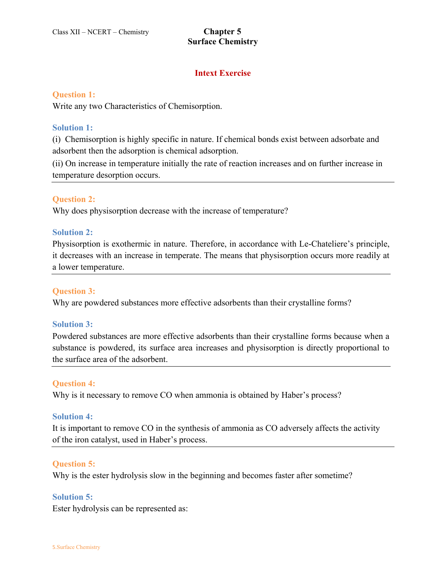## **Intext Exercise**

#### **Question 1:**

Write any two Characteristics of Chemisorption.

#### **Solution 1:**

(i) Chemisorption is highly specific in nature. If chemical bonds exist between adsorbate and adsorbent then the adsorption is chemical adsorption.

(ii) On increase in temperature initially the rate of reaction increases and on further increase in temperature desorption occurs.

#### **Question 2:**

Why does physisorption decrease with the increase of temperature?

#### **Solution 2:**

Physisorption is exothermic in nature. Therefore, in accordance with Le-Chateliere's principle, it decreases with an increase in temperate. The means that physisorption occurs more readily at a lower temperature.

#### **Question 3:**

Why are powdered substances more effective adsorbents than their crystalline forms?

#### **Solution 3:**

Powdered substances are more effective adsorbents than their crystalline forms because when a substance is powdered, its surface area increases and physisorption is directly proportional to the surface area of the adsorbent.

#### **Question 4:**

Why is it necessary to remove CO when ammonia is obtained by Haber's process?

#### **Solution 4:**

It is important to remove CO in the synthesis of ammonia as CO adversely affects the activity of the iron catalyst, used in Haber's process.

#### **Question 5:**

Why is the ester hydrolysis slow in the beginning and becomes faster after sometime?

#### **Solution 5:**

Ester hydrolysis can be represented as: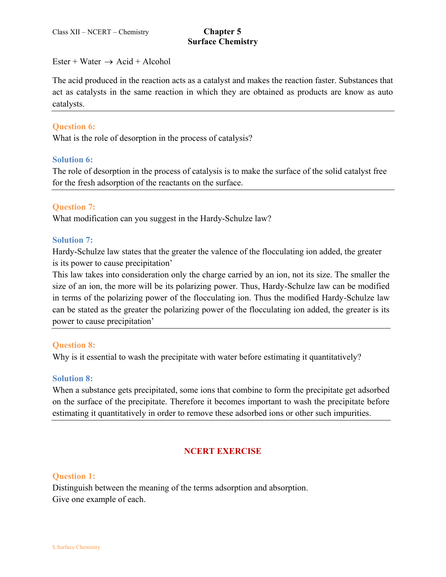Ester + Water  $\rightarrow$  Acid + Alcohol

The acid produced in the reaction acts as a catalyst and makes the reaction faster. Substances that act as catalysts in the same reaction in which they are obtained as products are know as auto catalysts.

### **Question 6:**

What is the role of desorption in the process of catalysis?

#### **Solution 6:**

The role of desorption in the process of catalysis is to make the surface of the solid catalyst free for the fresh adsorption of the reactants on the surface.

#### **Question 7:**

What modification can you suggest in the Hardy-Schulze law?

#### **Solution 7:**

Hardy-Schulze law states that the greater the valence of the flocculating ion added, the greater is its power to cause precipitation'

This law takes into consideration only the charge carried by an ion, not its size. The smaller the size of an ion, the more will be its polarizing power. Thus, Hardy-Schulze law can be modified in terms of the polarizing power of the flocculating ion. Thus the modified Hardy-Schulze law can be stated as the greater the polarizing power of the flocculating ion added, the greater is its power to cause precipitation'

#### **Question 8:**

Why is it essential to wash the precipitate with water before estimating it quantitatively?

#### **Solution 8:**

When a substance gets precipitated, some ions that combine to form the precipitate get adsorbed on the surface of the precipitate. Therefore it becomes important to wash the precipitate before estimating it quantitatively in order to remove these adsorbed ions or other such impurities.

## **NCERT EXERCISE**

#### **Question 1:**

Distinguish between the meaning of the terms adsorption and absorption. Give one example of each.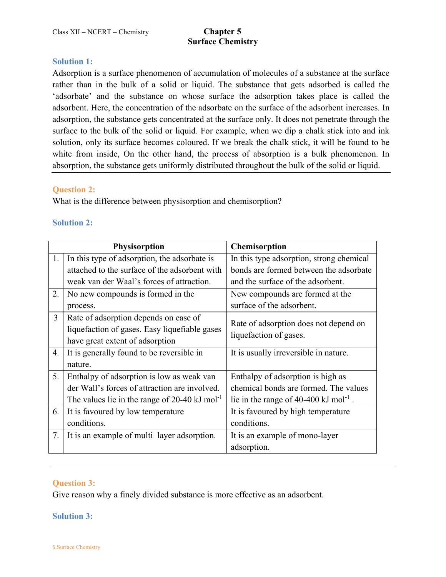### **Solution 1:**

Adsorption is a surface phenomenon of accumulation of molecules of a substance at the surface rather than in the bulk of a solid or liquid. The substance that gets adsorbed is called the 'adsorbate' and the substance on whose surface the adsorption takes place is called the adsorbent. Here, the concentration of the adsorbate on the surface of the adsorbent increases. In adsorption, the substance gets concentrated at the surface only. It does not penetrate through the surface to the bulk of the solid or liquid. For example, when we dip a chalk stick into and ink solution, only its surface becomes coloured. If we break the chalk stick, it will be found to be white from inside, On the other hand, the process of absorption is a bulk phenomenon. In absorption, the substance gets uniformly distributed throughout the bulk of the solid or liquid.

### **Question 2:**

What is the difference between physisorption and chemisorption?

### **Solution 2:**

|                | <b>Physisorption</b>                                                                                                      | Chemisorption                                                   |
|----------------|---------------------------------------------------------------------------------------------------------------------------|-----------------------------------------------------------------|
| 1.             | In this type of adsorption, the adsorbate is                                                                              | In this type adsorption, strong chemical                        |
|                | attached to the surface of the adsorbent with                                                                             | bonds are formed between the adsorbate                          |
|                | weak van der Waal's forces of attraction.                                                                                 | and the surface of the adsorbent.                               |
| 2.             | No new compounds is formed in the                                                                                         | New compounds are formed at the                                 |
|                | process.                                                                                                                  | surface of the adsorbent.                                       |
| $\overline{3}$ | Rate of adsorption depends on ease of<br>liquefaction of gases. Easy liquefiable gases<br>have great extent of adsorption | Rate of adsorption does not depend on<br>liquefaction of gases. |
| 4.             | It is generally found to be reversible in<br>nature.                                                                      | It is usually irreversible in nature.                           |
| 5.             | Enthalpy of adsorption is low as weak van                                                                                 | Enthalpy of adsorption is high as                               |
|                | der Wall's forces of attraction are involved.                                                                             | chemical bonds are formed. The values                           |
|                | The values lie in the range of 20-40 kJ mol <sup>-1</sup>                                                                 | lie in the range of 40-400 kJ mol <sup>-1</sup> .               |
| 6.             | It is favoured by low temperature                                                                                         | It is favoured by high temperature                              |
|                | conditions.                                                                                                               | conditions.                                                     |
| 7.             | It is an example of multi-layer adsorption.                                                                               | It is an example of mono-layer                                  |
|                |                                                                                                                           | adsorption.                                                     |

## **Question 3:**

Give reason why a finely divided substance is more effective as an adsorbent.

#### **Solution 3:**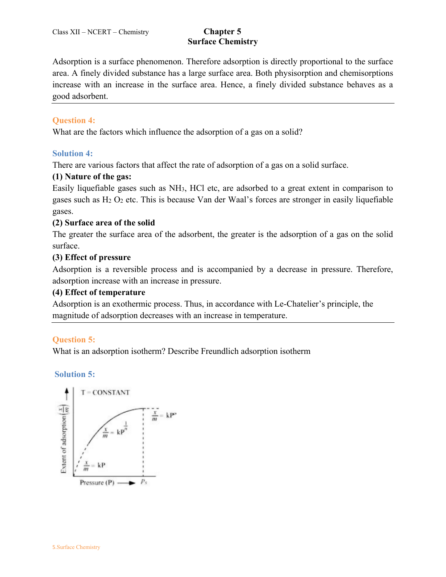Adsorption is a surface phenomenon. Therefore adsorption is directly proportional to the surface area. A finely divided substance has a large surface area. Both physisorption and chemisorptions increase with an increase in the surface area. Hence, a finely divided substance behaves as a good adsorbent.

## **Question 4:**

What are the factors which influence the adsorption of a gas on a solid?

## **Solution 4:**

There are various factors that affect the rate of adsorption of a gas on a solid surface.

## **(1) Nature of the gas:**

Easily liquefiable gases such as NH3, HCl etc, are adsorbed to a great extent in comparison to gases such as H<sup>2</sup> O<sup>2</sup> etc. This is because Van der Waal's forces are stronger in easily liquefiable gases.

## **(2) Surface area of the solid**

The greater the surface area of the adsorbent, the greater is the adsorption of a gas on the solid surface.

## **(3) Effect of pressure**

Adsorption is a reversible process and is accompanied by a decrease in pressure. Therefore, adsorption increase with an increase in pressure.

## **(4) Effect of temperature**

Adsorption is an exothermic process. Thus, in accordance with Le-Chatelier's principle, the magnitude of adsorption decreases with an increase in temperature.

## **Question 5:**

What is an adsorption isotherm? Describe Freundlich adsorption isotherm

**Solution 5:**

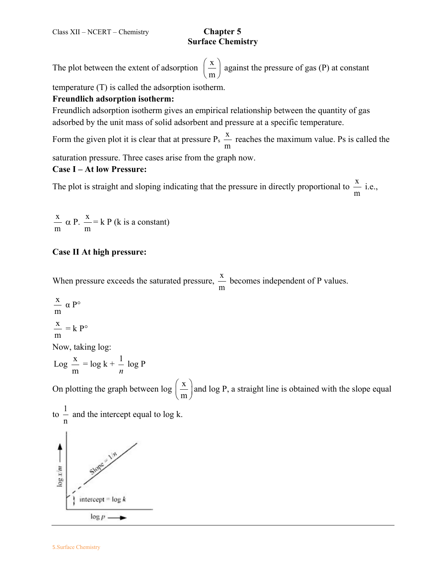The plot between the extent of adsorption  $\left(\frac{\mathbf{x}}{\mathbf{x}}\right)$  $\left(\frac{\text{x}}{\text{m}}\right)$  against the pressure of gas (P) at constant

temperature (T) is called the adsorption isotherm.

## **Freundlich adsorption isotherm:**

Freundlich adsorption isotherm gives an empirical relationship between the quantity of gas adsorbed by the unit mass of solid adsorbent and pressure at a specific temperature.

Form the given plot it is clear that at pressure  $P_s \stackrel{X}{\sim}$ m reaches the maximum value. Ps is called the

saturation pressure. Three cases arise from the graph now.

### **Case I – At low Pressure:**

The plot is straight and sloping indicating that the pressure in directly proportional to  $\frac{x}{x}$ m i.e.,

x m  $\alpha$  P.  $\frac{x}{x}$ m  $=$  k P (k is a constant)

## **Case II At high pressure:**

When pressure exceeds the saturated pressure,  $\frac{x}{x}$ m becomes independent of P values.

$$
\frac{x}{m} \alpha P^{\circ}
$$
\n
$$
\frac{x}{m} = k P^{\circ}
$$
\nNow, taking log:  
\n
$$
Log \frac{x}{m} = log k + \frac{1}{n} log P
$$
\nOn plotting the graph between log  $\left(\frac{x}{m}\right)$  and log P, a straight line is obtained with the slope equal to  $\frac{1}{n}$  and the intercept equal to log k.  
\n
$$
\sum_{k=1}^{\infty} \frac{1}{k!} \alpha^{k} \alpha^{k} \alpha^{k} \alpha^{k}
$$
\n
$$
\sum_{k=1}^{\infty} \frac{1}{k!} \alpha^{k} \alpha^{k} \alpha^{k}
$$
\n
$$
\sum_{k=1}^{\infty} \frac{1}{k!} \alpha^{k} \alpha^{k} \alpha^{k}
$$
\n
$$
\sum_{k=1}^{\infty} \frac{1}{k!} \alpha^{k} \alpha^{k} \alpha^{k}
$$
\n
$$
\sum_{k=1}^{\infty} \frac{1}{k!} \alpha^{k} \alpha^{k} \alpha^{k}
$$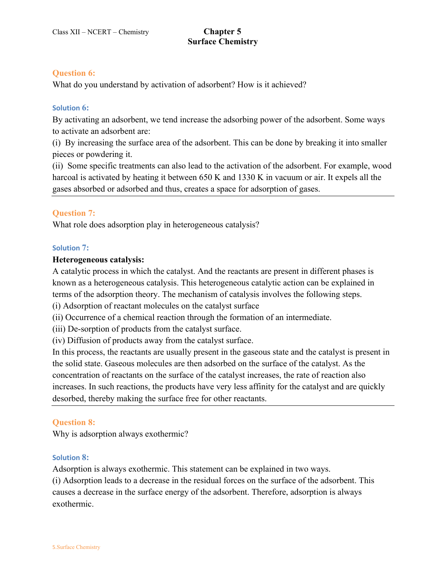### **Question 6:**

What do you understand by activation of adsorbent? How is it achieved?

#### **Solution 6:**

By activating an adsorbent, we tend increase the adsorbing power of the adsorbent. Some ways to activate an adsorbent are:

(i) By increasing the surface area of the adsorbent. This can be done by breaking it into smaller pieces or powdering it.

(ii) Some specific treatments can also lead to the activation of the adsorbent. For example, wood harcoal is activated by heating it between 650 K and 1330 K in vacuum or air. It expels all the gases absorbed or adsorbed and thus, creates a space for adsorption of gases.

### **Question 7:**

What role does adsorption play in heterogeneous catalysis?

#### **Solution 7:**

#### **Heterogeneous catalysis:**

A catalytic process in which the catalyst. And the reactants are present in different phases is known as a heterogeneous catalysis. This heterogeneous catalytic action can be explained in terms of the adsorption theory. The mechanism of catalysis involves the following steps.

(i) Adsorption of reactant molecules on the catalyst surface

(ii) Occurrence of a chemical reaction through the formation of an intermediate.

(iii) De-sorption of products from the catalyst surface.

(iv) Diffusion of products away from the catalyst surface.

In this process, the reactants are usually present in the gaseous state and the catalyst is present in the solid state. Gaseous molecules are then adsorbed on the surface of the catalyst. As the concentration of reactants on the surface of the catalyst increases, the rate of reaction also increases. In such reactions, the products have very less affinity for the catalyst and are quickly desorbed, thereby making the surface free for other reactants.

#### **Question 8:**

Why is adsorption always exothermic?

#### **Solution 8:**

Adsorption is always exothermic. This statement can be explained in two ways. (i) Adsorption leads to a decrease in the residual forces on the surface of the adsorbent. This causes a decrease in the surface energy of the adsorbent. Therefore, adsorption is always exothermic.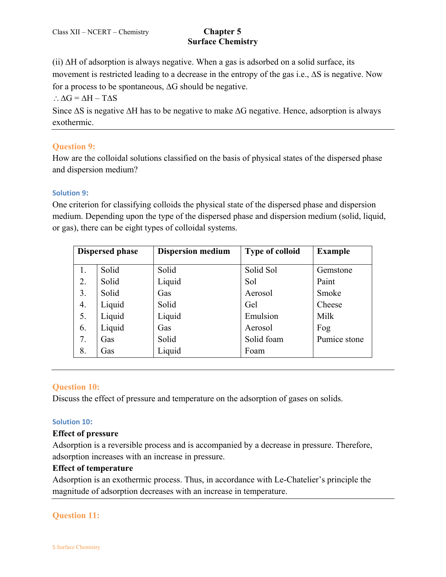(ii)  $\Delta H$  of adsorption is always negative. When a gas is adsorbed on a solid surface, its movement is restricted leading to a decrease in the entropy of the gas i.e.,  $\Delta S$  is negative. Now for a process to be spontaneous,  $\Delta G$  should be negative.

 $\therefore \Delta G = \Delta H - T \Delta S$ 

Since  $\Delta S$  is negative  $\Delta H$  has to be negative to make  $\Delta G$  negative. Hence, adsorption is always exothermic.

## **[Question 9:](https://www.ncertbooks.guru/cbse-ncert-solutions-pdf/)**

How are the colloidal solutions classified on the basis of physical states of the dispersed phase and dispersion medium?

## **Solution 9:**

One criterion for classifying colloids the physical state of the dispersed phase and dispersion medium. Depending upon the type of the dispersed phase and dispersion medium (solid, liquid, or gas), there can be eight types of colloidal systems.

| <b>Dispersed phase</b> |        | <b>Dispersion medium</b> | <b>Type of colloid</b> | <b>Example</b> |
|------------------------|--------|--------------------------|------------------------|----------------|
| 1.                     | Solid  | Solid                    | Solid Sol              | Gemstone       |
| 2.                     | Solid  | Liquid                   | Sol                    | Paint          |
| 3.                     | Solid  | Gas                      | Aerosol                | Smoke          |
| 4.                     | Liquid | Solid                    | Gel                    | Cheese         |
| 5.                     | Liquid | Liquid                   | Emulsion               | Milk           |
| 6.                     | Liquid | Gas                      | Aerosol                | Fog            |
| 7.                     | Gas    | Solid                    | Solid foam             | Pumice stone   |
| 8.                     | Gas    | Liquid                   | Foam                   |                |

## **Question 10:**

Discuss the effect of pressure and temperature on the adsorption of gases on solids.

### **Solution 10:**

#### **Effect of pressure**

Adsorption is a reversible process and is accompanied by a decrease in pressure. Therefore, adsorption increases with an increase in pressure.

#### **Effect of temperature**

Adsorption is an exothermic process. Thus, in accordance with Le-Chatelier's principle the magnitude of adsorption decreases with an increase in temperature.

## **Question 11:**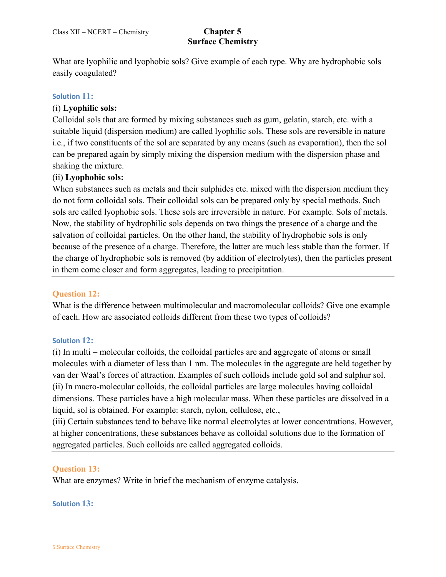What are lyophilic and lyophobic sols? Give example of each type. Why are hydrophobic sols easily coagulated?

### **Solution 11:**

### (i) **Lyophilic sols:**

Colloidal sols that are formed by mixing substances such as gum, gelatin, starch, etc. with a suitable liquid (dispersion medium) are called lyophilic sols. These sols are reversible in nature i.e., if two constituents of the sol are separated by any means (such as evaporation), then the sol can be prepared again by simply mixing the dispersion medium with the dispersion phase and shaking the mixture.

### (ii) **Lyophobic sols:**

When substances such as metals and their sulphides etc. mixed with the dispersion medium they do not form colloidal sols. Their colloidal sols can be prepared only by special methods. Such sols are called lyophobic sols. These sols are irreversible in nature. For example. Sols of metals. Now, the stability of hydrophilic sols depends on two things the presence of a charge and the salvation of colloidal particles. On the other hand, the stability of hydrophobic sols is only because of the presence of a charge. Therefore, the latter are much less stable than the former. If the charge of hydrophobic sols is removed (by addition of electrolytes), then the particles present in them come closer and form aggregates, leading to precipitation.

#### **Question 12:**

What is the difference between multimolecular and macromolecular colloids? Give one example of each. How are associated colloids different from these two types of colloids?

#### **Solution 12:**

(i) In multi – molecular colloids, the colloidal particles are and aggregate of atoms or small molecules with a diameter of less than 1 nm. The molecules in the aggregate are held together by van der Waal's forces of attraction. Examples of such colloids include gold sol and sulphur sol. (ii) In macro-molecular colloids, the colloidal particles are large molecules having colloidal dimensions. These particles have a high molecular mass. When these particles are dissolved in a liquid, sol is obtained. For example: starch, nylon, cellulose, etc.,

(iii) Certain substances tend to behave like normal electrolytes at lower concentrations. However, at higher concentrations, these substances behave as colloidal solutions due to the formation of aggregated particles. Such colloids are called aggregated colloids.

#### **Question 13:**

What are enzymes? Write in brief the mechanism of enzyme catalysis.

#### **Solution 13:**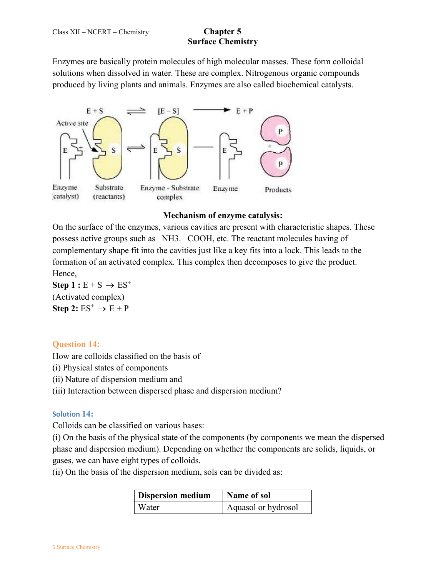Enzymes are basically protein molecules of high molecular masses. These form colloidal solutions when dissolved in water. These are complex. Nitrogenous organic compounds produced by living plants and animals. Enzymes are also called biochemical catalysts.



#### **Mechanism of enzyme catalysis:**

On the surface of the enzymes, various cavities are present with characteristic shapes. These possess active groups such as –NH3. –COOH, etc. The reactant molecules having of complementary shape fit into the cavities just like a key fits into a lock. This leads to the formation of an activated complex. This complex then decomposes to give the product. Hence,

**Step 1** :  $E + S \rightarrow ES^+$ (Activated complex) Step 2:  $ES^+ \rightarrow E + P$ 

## **Question 14:**

How are colloids classified on the basis of

- (i) Physical states of components
- (ii) Nature of dispersion medium and
- (iii) Interaction between dispersed phase and dispersion medium?

#### **Solution 14:**

Colloids can be classified on various bases:

(i) On the basis of the physical state of the components (by components we mean the dispersed phase and dispersion medium). Depending on whether the components are solids, liquids, or gases, we can have eight types of colloids.

(ii) On the basis of the dispersion medium, sols can be divided as:

| <b>Dispersion medium</b> | Name of sol         |
|--------------------------|---------------------|
| <b>Water</b>             | Aquasol or hydrosol |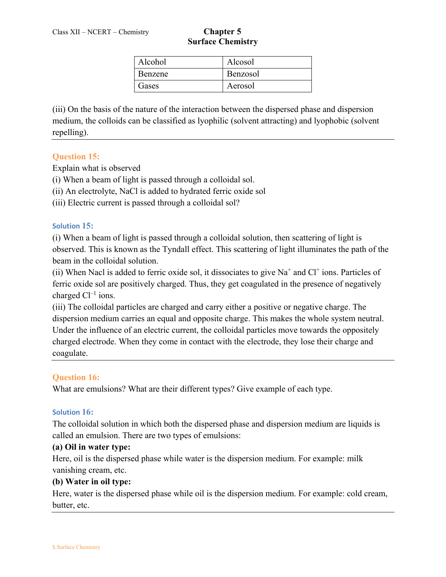| Alcohol        | Alcosol  |
|----------------|----------|
| <b>Benzene</b> | Benzosol |
| Gases          | Aerosol  |

(iii) On the basis of the nature of the interaction between the dispersed phase and dispersion medium, the colloids can be classified as lyophilic (solvent attracting) and lyophobic (solvent repelling).

### **Question 15:**

Explain what is observed

(i) When a beam of light is passed through a colloidal sol.

(ii) An electrolyte, NaCl is added to hydrated ferric oxide sol

(iii) Electric current is passed through a colloidal sol?

#### **Solution 15:**

(i) When a beam of light is passed through a colloidal solution, then scattering of light is observed. This is known as the Tyndall effect. This scattering of light illuminates the path of the beam in the colloidal solution.

(ii) When Nacl is added to ferric oxide sol, it dissociates to give  $Na<sup>+</sup>$  and  $Cl<sup>+</sup>$  ions. Particles of ferric oxide sol are positively charged. Thus, they get coagulated in the presence of negatively charged  $Cl^{-1}$  ions.

(iii) The colloidal particles are charged and carry either a positive or negative charge. The dispersion medium carries an equal and opposite charge. This makes the whole system neutral. Under the influence of an electric current, the colloidal particles move towards the oppositely charged electrode. When they come in contact with the electrode, they lose their charge and coagulate.

#### **Question 16:**

What are emulsions? What are their different types? Give example of each type.

#### **Solution 16:**

The colloidal solution in which both the dispersed phase and dispersion medium are liquids is called an emulsion. There are two types of emulsions:

#### **(a) Oil in water type:**

Here, oil is the dispersed phase while water is the dispersion medium. For example: milk vanishing cream, etc.

#### **(b) Water in oil type:**

Here, water is the dispersed phase while oil is the dispersion medium. For example: cold cream, butter, etc.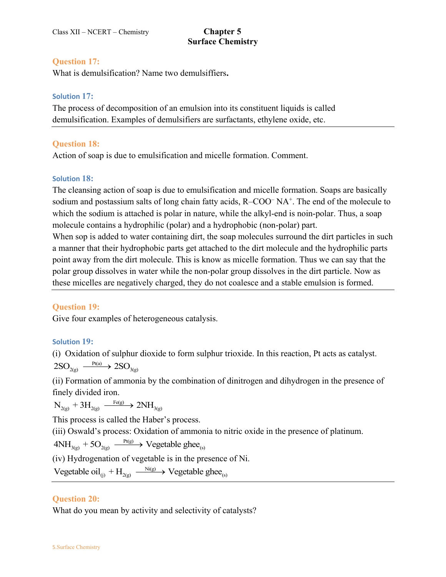#### **Question 17:**

What is demulsification? Name two demulsiffiers**.** 

#### **Solution 17:**

The process of decomposition of an emulsion into its constituent liquids is called demulsification. Examples of demulsifiers are surfactants, ethylene oxide, etc.

## **Question 18:**

Action of soap is due to emulsification and micelle formation. Comment.

## **Solution 18:**

The cleansing action of soap is due to emulsification and micelle formation. Soaps are basically sodium and postassium salts of long chain fatty acids,  $R$ -COO<sup>-</sup> NA<sup>+</sup>. The end of the molecule to which the sodium is attached is polar in nature, while the alkyl-end is noin-polar. Thus, a soap molecule contains a hydrophilic (polar) and a hydrophobic (non-polar) part.

When sop is added to water containing dirt, the soap molecules surround the dirt particles in such a manner that their hydrophobic parts get attached to the dirt molecule and the hydrophilic parts point away from the dirt molecule. This is know as micelle formation. Thus we can say that the polar group dissolves in water while the non-polar group dissolves in the dirt particle. Now as these micelles are negatively charged, they do not coalesce and a stable emulsion is formed.

## **Question 19:**

Give four examples of heterogeneous catalysis.

## **Solution 19:**

(i) Oxidation of sulphur dioxide to form sulphur trioxide. In this reaction, Pt acts as catalyst.  $2\text{SO}_{2(g)} \xrightarrow{\text{Pt(a)}} 2\text{SO}_{3(g)}$ 

(ii) Formation of ammonia by the combination of dinitrogen and dihydrogen in the presence of finely divided iron.

 $\rm N_{2(g)}+3H_{2(g)} \xrightarrow{\rm Fe(g)} 2NH_{3(g)}$ 

This process is called the Haber's process.

(iii) Oswald's process: Oxidation of ammonia to nitric oxide in the presence of platinum.

 $4NH_{3(g)} + 5O_{2(g)} \xrightarrow{Pt(g)} Vegetable ghee_{(s)}$ 

(iv) Hydrogenation of vegetable is in the presence of Ni.

Vegetable oil<sub>(j)</sub> +  $H_{2(g)} \longrightarrow$  Vegetable ghee<sub>(s)</sub>

## **Question 20:**

What do you mean by activity and selectivity of catalysts?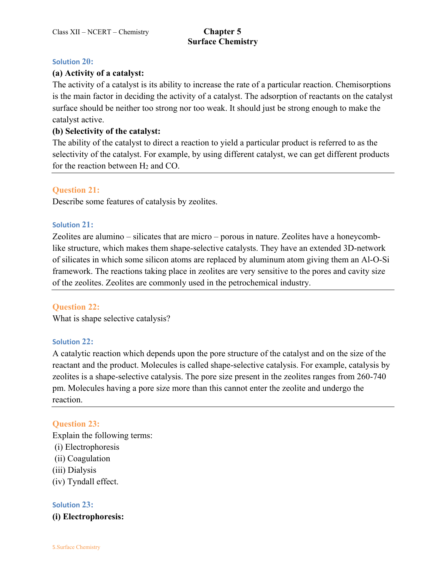#### **Solution 20:**

#### **(a) Activity of a catalyst:**

The activity of a catalyst is its ability to increase the rate of a particular reaction. Chemisorptions is the main factor in deciding the activity of a catalyst. The adsorption of reactants on the catalyst surface should be neither too strong nor too weak. It should just be strong enough to make the catalyst active.

#### **(b) Selectivity of the catalyst:**

The ability of the catalyst to direct a reaction to yield a particular product is referred to as the selectivity of the catalyst. For example, by using different catalyst, we can get different products for the reaction between H<sub>2</sub> and CO.

#### **Question 21:**

Describe some features of catalysis by zeolites.

#### **Solution 21:**

Zeolites are alumino – silicates that are micro – porous in nature. Zeolites have a honeycomblike structure, which makes them shape-selective catalysts. They have an extended 3D-network of silicates in which some silicon atoms are replaced by aluminum atom giving them an Al-O-Si framework. The reactions taking place in zeolites are very sensitive to the pores and cavity size of the zeolites. Zeolites are commonly used in the petrochemical industry.

#### **Question 22:**

What is shape selective catalysis?

#### **Solution 22:**

A catalytic reaction which depends upon the pore structure of the catalyst and on the size of the reactant and the product. Molecules is called shape-selective catalysis. For example, catalysis by zeolites is a shape-selective catalysis. The pore size present in the zeolites ranges from 260-740 pm. Molecules having a pore size more than this cannot enter the zeolite and undergo the reaction.

#### **Question 23:**

Explain the following terms: (i) Electrophoresis (ii) Coagulation (iii) Dialysis (iv) Tyndall effect.

#### **Solution 23:**

**(i) Electrophoresis:**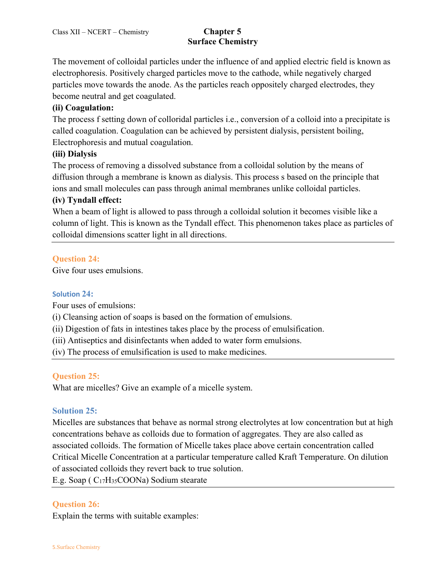The movement of colloidal particles under the influence of and applied electric field is known as electrophoresis. Positively charged particles move to the cathode, while negatively charged particles move towards the anode. As the particles reach oppositely charged electrodes, they become neutral and get coagulated.

## **(ii) Coagulation:**

The process f setting down of colloridal particles i.e., conversion of a colloid into a precipitate is called coagulation. Coagulation can be achieved by persistent dialysis, persistent boiling, Electrophoresis and mutual coagulation.

## **(iii) Dialysis**

The process of removing a dissolved substance from a colloidal solution by the means of diffusion through a membrane is known as dialysis. This process s based on the principle that ions and small molecules can pass through animal membranes unlike colloidal particles.

## **(iv) Tyndall effect:**

When a beam of light is allowed to pass through a colloidal solution it becomes visible like a column of light. This is known as the Tyndall effect. This phenomenon takes place as particles of colloidal dimensions scatter light in all directions.

## **Question 24:**

Give four uses emulsions.

#### **Solution 24:**

Four uses of emulsions:

(i) Cleansing action of soaps is based on the formation of emulsions.

(ii) Digestion of fats in intestines takes place by the process of emulsification.

(iii) Antiseptics and disinfectants when added to water form emulsions.

(iv) The process of emulsification is used to make medicines.

## **Question 25:**

What are micelles? Give an example of a micelle system.

## **Solution 25:**

Micelles are substances that behave as normal strong electrolytes at low concentration but at high concentrations behave as colloids due to formation of aggregates. They are also called as associated colloids. The formation of Micelle takes place above certain concentration called Critical Micelle Concentration at a particular temperature called Kraft Temperature. On dilution of associated colloids they revert back to true solution.

E.g. Soap ( C17H35COONa) Sodium stearate

## **Question 26:**

Explain the terms with suitable examples: